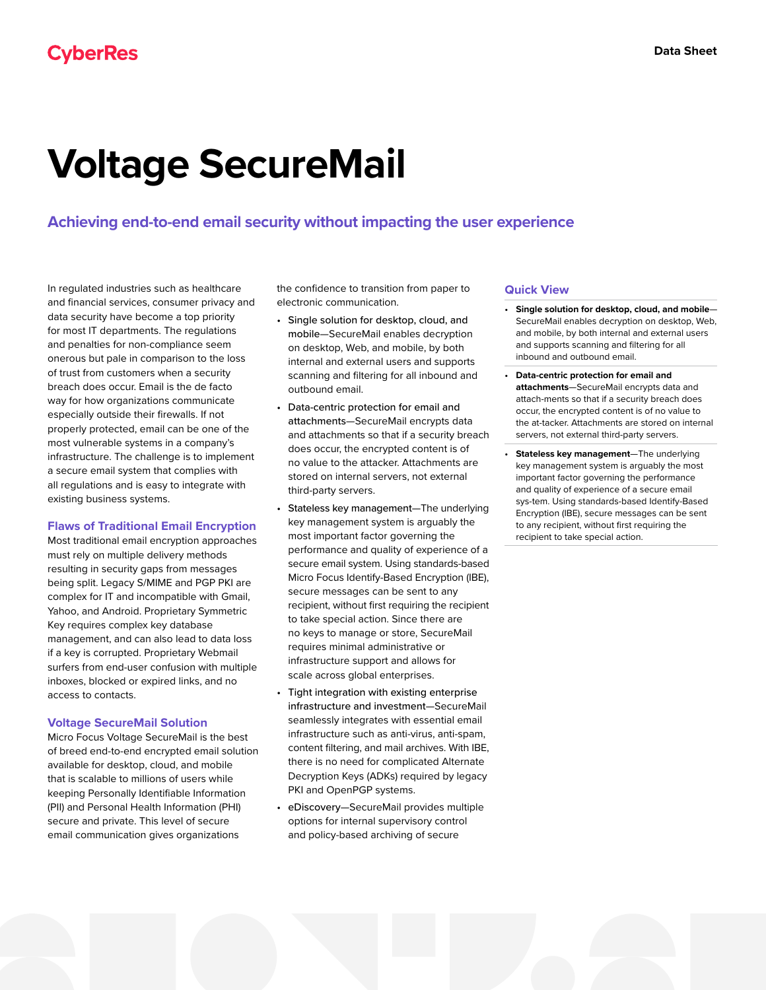# **Voltage SecureMail**

## **Achieving end-to-end email security without impacting the user experience**

In regulated industries such as healthcare and financial services, consumer privacy and data security have become a top priority for most IT departments. The regulations and penalties for non-compliance seem onerous but pale in comparison to the loss of trust from customers when a security breach does occur. Email is the de facto way for how organizations communicate especially outside their firewalls. If not properly protected, email can be one of the most vulnerable systems in a company's infrastructure. The challenge is to implement a secure email system that complies with all regulations and is easy to integrate with existing business systems.

### **Flaws of Traditional Email Encryption**

Most traditional email encryption approaches must rely on multiple delivery methods resulting in security gaps from messages being split. Legacy S/MIME and PGP PKI are complex for IT and incompatible with Gmail, Yahoo, and Android. Proprietary Symmetric Key requires complex key database management, and can also lead to data loss if a key is corrupted. Proprietary Webmail surfers from end-user confusion with multiple inboxes, blocked or expired links, and no access to contacts.

#### **Voltage SecureMail Solution**

Micro Focus Voltage SecureMail is the best of breed end-to-end encrypted email solution available for desktop, cloud, and mobile that is scalable to millions of users while keeping Personally Identifiable Information (PII) and Personal Health Information (PHI) secure and private. This level of secure email communication gives organizations

the confidence to transition from paper to electronic communication.

- Single solution for desktop, cloud, and mobile—SecureMail enables decryption on desktop, Web, and mobile, by both internal and external users and supports scanning and filtering for all inbound and outbound email.
- Data-centric protection for email and attachments—SecureMail encrypts data and attachments so that if a security breach does occur, the encrypted content is of no value to the attacker. Attachments are stored on internal servers, not external third-party servers.
- Stateless key management—The underlying key management system is arguably the most important factor governing the performance and quality of experience of a secure email system. Using standards-based Micro Focus Identify-Based Encryption (IBE), secure messages can be sent to any recipient, without first requiring the recipient to take special action. Since there are no keys to manage or store, SecureMail requires minimal administrative or infrastructure support and allows for scale across global enterprises.
- Tight integration with existing enterprise infrastructure and investment—SecureMail seamlessly integrates with essential email infrastructure such as anti-virus, anti-spam, content filtering, and mail archives. With IBE, there is no need for complicated Alternate Decryption Keys (ADKs) required by legacy PKI and OpenPGP systems.
- eDiscovery—SecureMail provides multiple options for internal supervisory control and policy-based archiving of secure

#### **Quick View**

- **• Single solution for desktop, cloud, and mobile** SecureMail enables decryption on desktop, Web, and mobile, by both internal and external users and supports scanning and filtering for all inbound and outbound email.
- **• Data-centric protection for email and attachments**—SecureMail encrypts data and attach-ments so that if a security breach does occur, the encrypted content is of no value to the at-tacker. Attachments are stored on internal servers, not external third-party servers.
- **• Stateless key management**—The underlying key management system is arguably the most important factor governing the performance and quality of experience of a secure email sys-tem. Using standards-based Identify-Based Encryption (IBE), secure messages can be sent to any recipient, without first requiring the recipient to take special action.